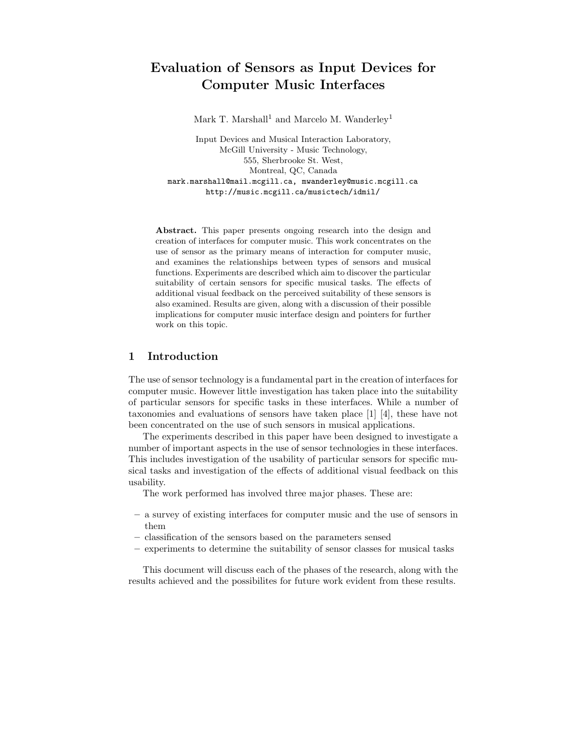# Evaluation of Sensors as Input Devices for Computer Music Interfaces

Mark T. Marshall<sup>1</sup> and Marcelo M. Wanderley<sup>1</sup>

Input Devices and Musical Interaction Laboratory, McGill University - Music Technology, 555, Sherbrooke St. West, Montreal, QC, Canada mark.marshall@mail.mcgill.ca, mwanderley@music.mcgill.ca http://music.mcgill.ca/musictech/idmil/

Abstract. This paper presents ongoing research into the design and creation of interfaces for computer music. This work concentrates on the use of sensor as the primary means of interaction for computer music, and examines the relationships between types of sensors and musical functions. Experiments are described which aim to discover the particular suitability of certain sensors for specific musical tasks. The effects of additional visual feedback on the perceived suitability of these sensors is also examined. Results are given, along with a discussion of their possible implications for computer music interface design and pointers for further work on this topic.

# 1 Introduction

The use of sensor technology is a fundamental part in the creation of interfaces for computer music. However little investigation has taken place into the suitability of particular sensors for specific tasks in these interfaces. While a number of taxonomies and evaluations of sensors have taken place [1] [4], these have not been concentrated on the use of such sensors in musical applications.

The experiments described in this paper have been designed to investigate a number of important aspects in the use of sensor technologies in these interfaces. This includes investigation of the usability of particular sensors for specific musical tasks and investigation of the effects of additional visual feedback on this usability.

The work performed has involved three major phases. These are:

- a survey of existing interfaces for computer music and the use of sensors in them
- classification of the sensors based on the parameters sensed
- experiments to determine the suitability of sensor classes for musical tasks

This document will discuss each of the phases of the research, along with the results achieved and the possibilites for future work evident from these results.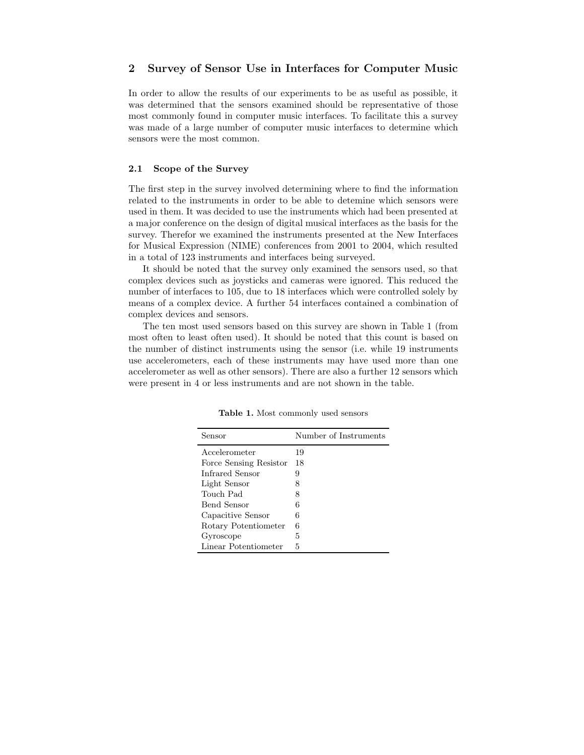## 2 Survey of Sensor Use in Interfaces for Computer Music

In order to allow the results of our experiments to be as useful as possible, it was determined that the sensors examined should be representative of those most commonly found in computer music interfaces. To facilitate this a survey was made of a large number of computer music interfaces to determine which sensors were the most common.

#### 2.1 Scope of the Survey

The first step in the survey involved determining where to find the information related to the instruments in order to be able to detemine which sensors were used in them. It was decided to use the instruments which had been presented at a major conference on the design of digital musical interfaces as the basis for the survey. Therefor we examined the instruments presented at the New Interfaces for Musical Expression (NIME) conferences from 2001 to 2004, which resulted in a total of 123 instruments and interfaces being surveyed.

It should be noted that the survey only examined the sensors used, so that complex devices such as joysticks and cameras were ignored. This reduced the number of interfaces to 105, due to 18 interfaces which were controlled solely by means of a complex device. A further 54 interfaces contained a combination of complex devices and sensors.

The ten most used sensors based on this survey are shown in Table 1 (from most often to least often used). It should be noted that this count is based on the number of distinct instruments using the sensor (i.e. while 19 instruments use accelerometers, each of these instruments may have used more than one accelerometer as well as other sensors). There are also a further 12 sensors which were present in 4 or less instruments and are not shown in the table.

| Sensor                 | Number of Instruments |
|------------------------|-----------------------|
| Accelerometer          | 19                    |
| Force Sensing Resistor | 18                    |
| Infrared Sensor        | 9                     |
| Light Sensor           | 8                     |
| Touch Pad              | 8                     |
| Bend Sensor            | 6                     |
| Capacitive Sensor      | 6                     |
| Rotary Potentiometer   | 6                     |
| Gyroscope              | 5                     |
| Linear Potentiometer   | 5                     |

Table 1. Most commonly used sensors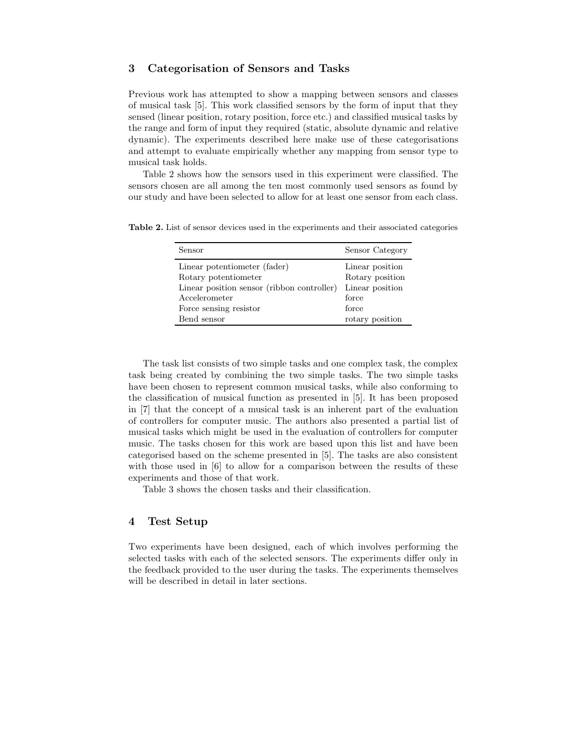## 3 Categorisation of Sensors and Tasks

Previous work has attempted to show a mapping between sensors and classes of musical task [5]. This work classified sensors by the form of input that they sensed (linear position, rotary position, force etc.) and classified musical tasks by the range and form of input they required (static, absolute dynamic and relative dynamic). The experiments described here make use of these categorisations and attempt to evaluate empirically whether any mapping from sensor type to musical task holds.

Table 2 shows how the sensors used in this experiment were classified. The sensors chosen are all among the ten most commonly used sensors as found by our study and have been selected to allow for at least one sensor from each class.

Table 2. List of sensor devices used in the experiments and their associated categories

| Sensor                                     | Sensor Category |
|--------------------------------------------|-----------------|
| Linear potentiometer (fader)               | Linear position |
| Rotary potentiometer                       | Rotary position |
| Linear position sensor (ribbon controller) | Linear position |
| Accelerometer                              | force           |
| Force sensing resistor                     | force           |
| Bend sensor                                | rotary position |

The task list consists of two simple tasks and one complex task, the complex task being created by combining the two simple tasks. The two simple tasks have been chosen to represent common musical tasks, while also conforming to the classification of musical function as presented in [5]. It has been proposed in [7] that the concept of a musical task is an inherent part of the evaluation of controllers for computer music. The authors also presented a partial list of musical tasks which might be used in the evaluation of controllers for computer music. The tasks chosen for this work are based upon this list and have been categorised based on the scheme presented in [5]. The tasks are also consistent with those used in  $[6]$  to allow for a comparison between the results of these experiments and those of that work.

Table 3 shows the chosen tasks and their classification.

## 4 Test Setup

Two experiments have been designed, each of which involves performing the selected tasks with each of the selected sensors. The experiments differ only in the feedback provided to the user during the tasks. The experiments themselves will be described in detail in later sections.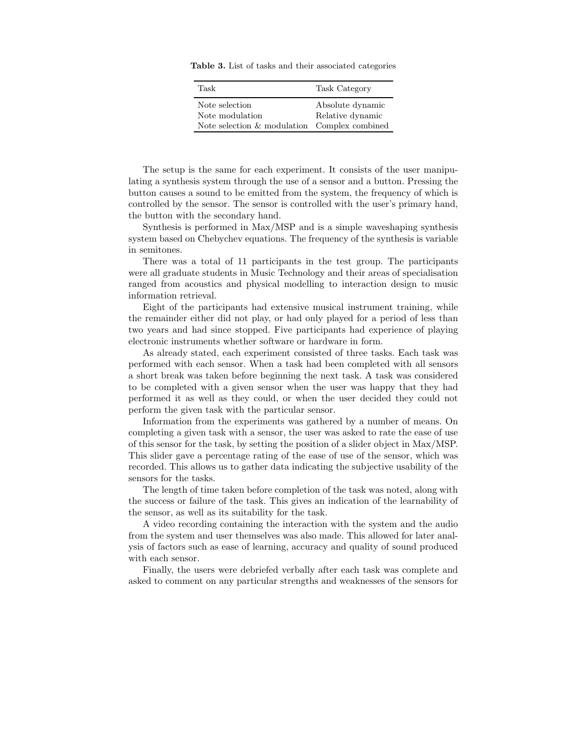Table 3. List of tasks and their associated categories

| Task                                                                              | Task Category                        |
|-----------------------------------------------------------------------------------|--------------------------------------|
| Note selection<br>Note modulation<br>Note selection & modulation Complex combined | Absolute dynamic<br>Relative dynamic |

The setup is the same for each experiment. It consists of the user manipulating a synthesis system through the use of a sensor and a button. Pressing the button causes a sound to be emitted from the system, the frequency of which is controlled by the sensor. The sensor is controlled with the user's primary hand, the button with the secondary hand.

Synthesis is performed in Max/MSP and is a simple waveshaping synthesis system based on Chebychev equations. The frequency of the synthesis is variable in semitones.

There was a total of 11 participants in the test group. The participants were all graduate students in Music Technology and their areas of specialisation ranged from acoustics and physical modelling to interaction design to music information retrieval.

Eight of the participants had extensive musical instrument training, while the remainder either did not play, or had only played for a period of less than two years and had since stopped. Five participants had experience of playing electronic instruments whether software or hardware in form.

As already stated, each experiment consisted of three tasks. Each task was performed with each sensor. When a task had been completed with all sensors a short break was taken before beginning the next task. A task was considered to be completed with a given sensor when the user was happy that they had performed it as well as they could, or when the user decided they could not perform the given task with the particular sensor.

Information from the experiments was gathered by a number of means. On completing a given task with a sensor, the user was asked to rate the ease of use of this sensor for the task, by setting the position of a slider object in Max/MSP. This slider gave a percentage rating of the ease of use of the sensor, which was recorded. This allows us to gather data indicating the subjective usability of the sensors for the tasks.

The length of time taken before completion of the task was noted, along with the success or failure of the task. This gives an indication of the learnability of the sensor, as well as its suitability for the task.

A video recording containing the interaction with the system and the audio from the system and user themselves was also made. This allowed for later analysis of factors such as ease of learning, accuracy and quality of sound produced with each sensor.

Finally, the users were debriefed verbally after each task was complete and asked to comment on any particular strengths and weaknesses of the sensors for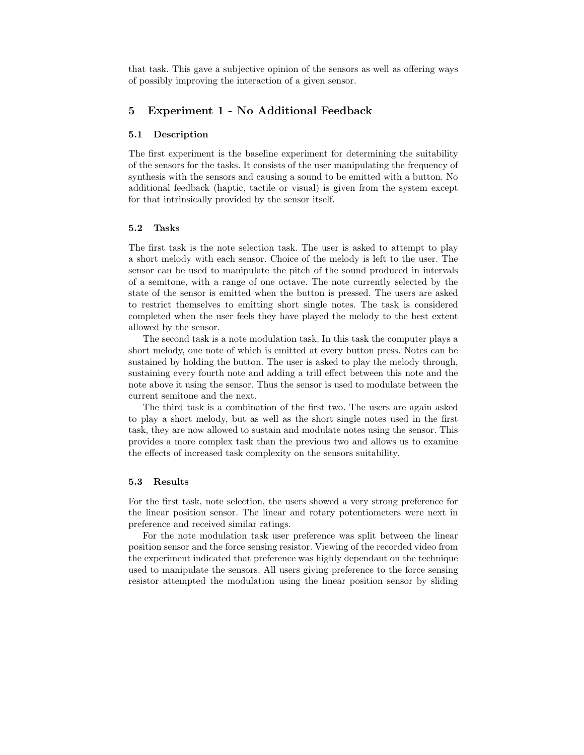that task. This gave a subjective opinion of the sensors as well as offering ways of possibly improving the interaction of a given sensor.

### 5 Experiment 1 - No Additional Feedback

#### 5.1 Description

The first experiment is the baseline experiment for determining the suitability of the sensors for the tasks. It consists of the user manipulating the frequency of synthesis with the sensors and causing a sound to be emitted with a button. No additional feedback (haptic, tactile or visual) is given from the system except for that intrinsically provided by the sensor itself.

#### 5.2 Tasks

The first task is the note selection task. The user is asked to attempt to play a short melody with each sensor. Choice of the melody is left to the user. The sensor can be used to manipulate the pitch of the sound produced in intervals of a semitone, with a range of one octave. The note currently selected by the state of the sensor is emitted when the button is pressed. The users are asked to restrict themselves to emitting short single notes. The task is considered completed when the user feels they have played the melody to the best extent allowed by the sensor.

The second task is a note modulation task. In this task the computer plays a short melody, one note of which is emitted at every button press. Notes can be sustained by holding the button. The user is asked to play the melody through, sustaining every fourth note and adding a trill effect between this note and the note above it using the sensor. Thus the sensor is used to modulate between the current semitone and the next.

The third task is a combination of the first two. The users are again asked to play a short melody, but as well as the short single notes used in the first task, they are now allowed to sustain and modulate notes using the sensor. This provides a more complex task than the previous two and allows us to examine the effects of increased task complexity on the sensors suitability.

#### 5.3 Results

For the first task, note selection, the users showed a very strong preference for the linear position sensor. The linear and rotary potentiometers were next in preference and received similar ratings.

For the note modulation task user preference was split between the linear position sensor and the force sensing resistor. Viewing of the recorded video from the experiment indicated that preference was highly dependant on the technique used to manipulate the sensors. All users giving preference to the force sensing resistor attempted the modulation using the linear position sensor by sliding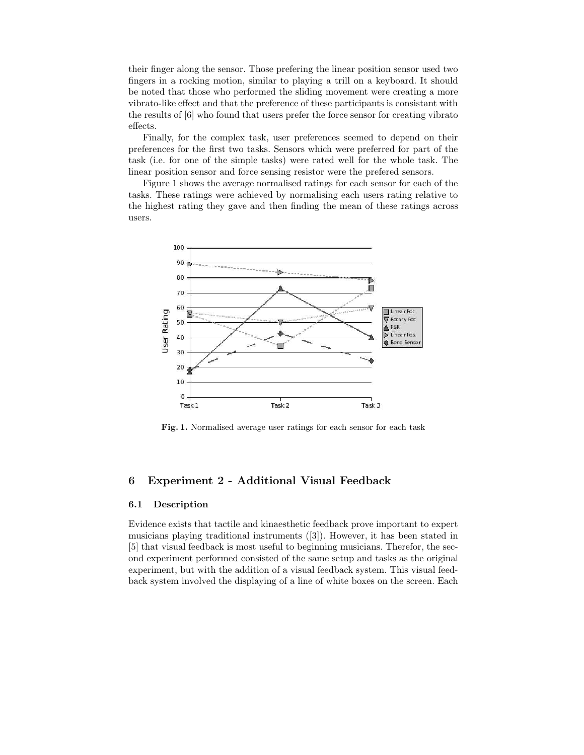their finger along the sensor. Those prefering the linear position sensor used two fingers in a rocking motion, similar to playing a trill on a keyboard. It should be noted that those who performed the sliding movement were creating a more vibrato-like effect and that the preference of these participants is consistant with the results of [6] who found that users prefer the force sensor for creating vibrato effects.

Finally, for the complex task, user preferences seemed to depend on their preferences for the first two tasks. Sensors which were preferred for part of the task (i.e. for one of the simple tasks) were rated well for the whole task. The linear position sensor and force sensing resistor were the prefered sensors.

Figure 1 shows the average normalised ratings for each sensor for each of the tasks. These ratings were achieved by normalising each users rating relative to the highest rating they gave and then finding the mean of these ratings across users.



Fig. 1. Normalised average user ratings for each sensor for each task

#### 6 Experiment 2 - Additional Visual Feedback

#### 6.1 Description

Evidence exists that tactile and kinaesthetic feedback prove important to expert musicians playing traditional instruments ([3]). However, it has been stated in [5] that visual feedback is most useful to beginning musicians. Therefor, the second experiment performed consisted of the same setup and tasks as the original experiment, but with the addition of a visual feedback system. This visual feedback system involved the displaying of a line of white boxes on the screen. Each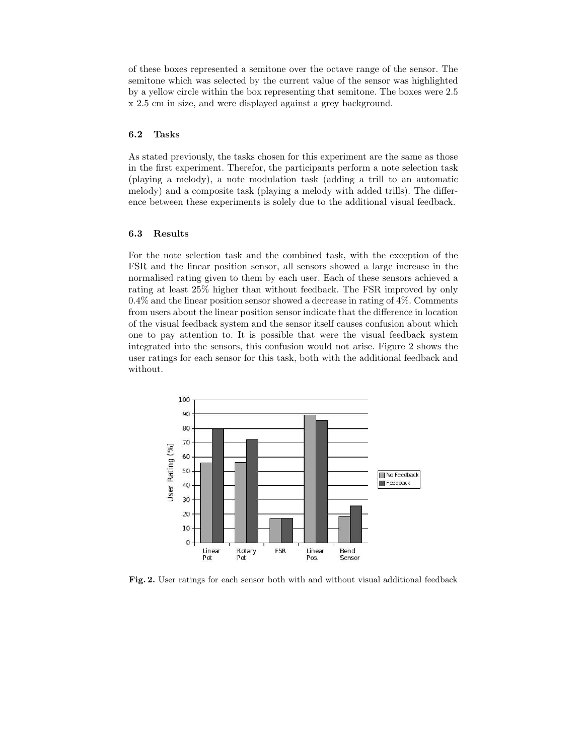of these boxes represented a semitone over the octave range of the sensor. The semitone which was selected by the current value of the sensor was highlighted by a yellow circle within the box representing that semitone. The boxes were 2.5 x 2.5 cm in size, and were displayed against a grey background.

#### 6.2 Tasks

As stated previously, the tasks chosen for this experiment are the same as those in the first experiment. Therefor, the participants perform a note selection task (playing a melody), a note modulation task (adding a trill to an automatic melody) and a composite task (playing a melody with added trills). The difference between these experiments is solely due to the additional visual feedback.

#### 6.3 Results

For the note selection task and the combined task, with the exception of the FSR and the linear position sensor, all sensors showed a large increase in the normalised rating given to them by each user. Each of these sensors achieved a rating at least 25% higher than without feedback. The FSR improved by only 0.4% and the linear position sensor showed a decrease in rating of 4%. Comments from users about the linear position sensor indicate that the difference in location of the visual feedback system and the sensor itself causes confusion about which one to pay attention to. It is possible that were the visual feedback system integrated into the sensors, this confusion would not arise. Figure 2 shows the user ratings for each sensor for this task, both with the additional feedback and without.



Fig. 2. User ratings for each sensor both with and without visual additional feedback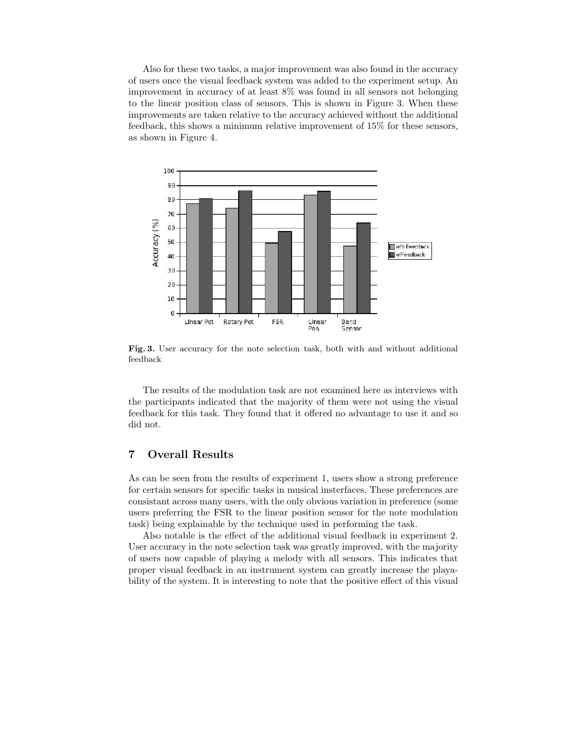Also for these two tasks, a major improvement was also found in the accuracy of users once the visual feedback system was added to the experiment setup. An improvement in accuracy of at least 8% was found in all sensors not belonging to the linear position class of sensors. This is shown in Figure 3. When these improvements are taken relative to the accuracy achieved without the additional feedback, this shows a minimum relative improvement of 15% for these sensors, as shown in Figure 4.



Fig. 3. User accuracy for the note selection task, both with and without additional feedback

The results of the modulation task are not examined here as interviews with the participants indicated that the majority of them were not using the visual feedback for this task. They found that it offered no advantage to use it and so did not.

### 7 Overall Results

As can be seen from the results of experiment 1, users show a strong preference for certain sensors for specific tasks in musical insterfaces. These preferences are consistant across many users, with the only obvious variation in preference (some users preferring the FSR to the linear position sensor for the note modulation task) being explainable by the technique used in performing the task.

Also notable is the effect of the additional visual feedback in experiment 2. User accuracy in the note selection task was greatly improved, with the majority of users now capable of playing a melody with all sensors. This indicates that proper visual feedback in an instrument system can greatly increase the playability of the system. It is interesting to note that the positive effect of this visual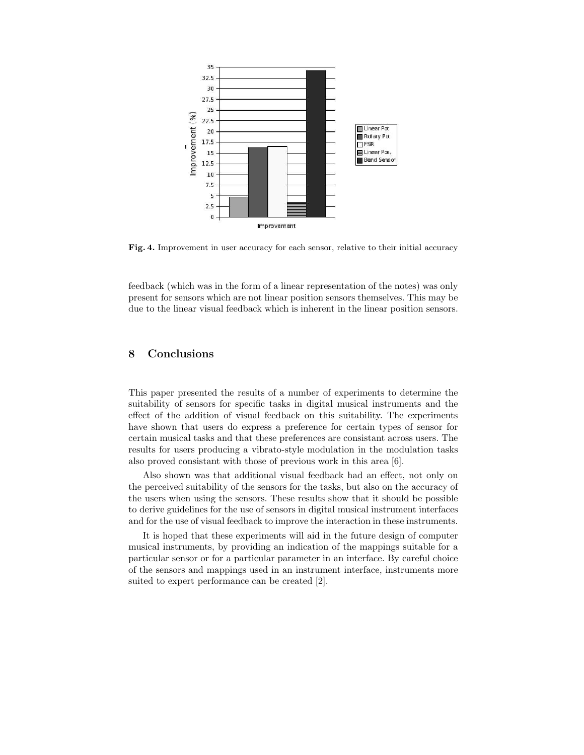

Fig. 4. Improvement in user accuracy for each sensor, relative to their initial accuracy

feedback (which was in the form of a linear representation of the notes) was only present for sensors which are not linear position sensors themselves. This may be due to the linear visual feedback which is inherent in the linear position sensors.

# 8 Conclusions

This paper presented the results of a number of experiments to determine the suitability of sensors for specific tasks in digital musical instruments and the effect of the addition of visual feedback on this suitability. The experiments have shown that users do express a preference for certain types of sensor for certain musical tasks and that these preferences are consistant across users. The results for users producing a vibrato-style modulation in the modulation tasks also proved consistant with those of previous work in this area [6].

Also shown was that additional visual feedback had an effect, not only on the perceived suitability of the sensors for the tasks, but also on the accuracy of the users when using the sensors. These results show that it should be possible to derive guidelines for the use of sensors in digital musical instrument interfaces and for the use of visual feedback to improve the interaction in these instruments.

It is hoped that these experiments will aid in the future design of computer musical instruments, by providing an indication of the mappings suitable for a particular sensor or for a particular parameter in an interface. By careful choice of the sensors and mappings used in an instrument interface, instruments more suited to expert performance can be created [2].